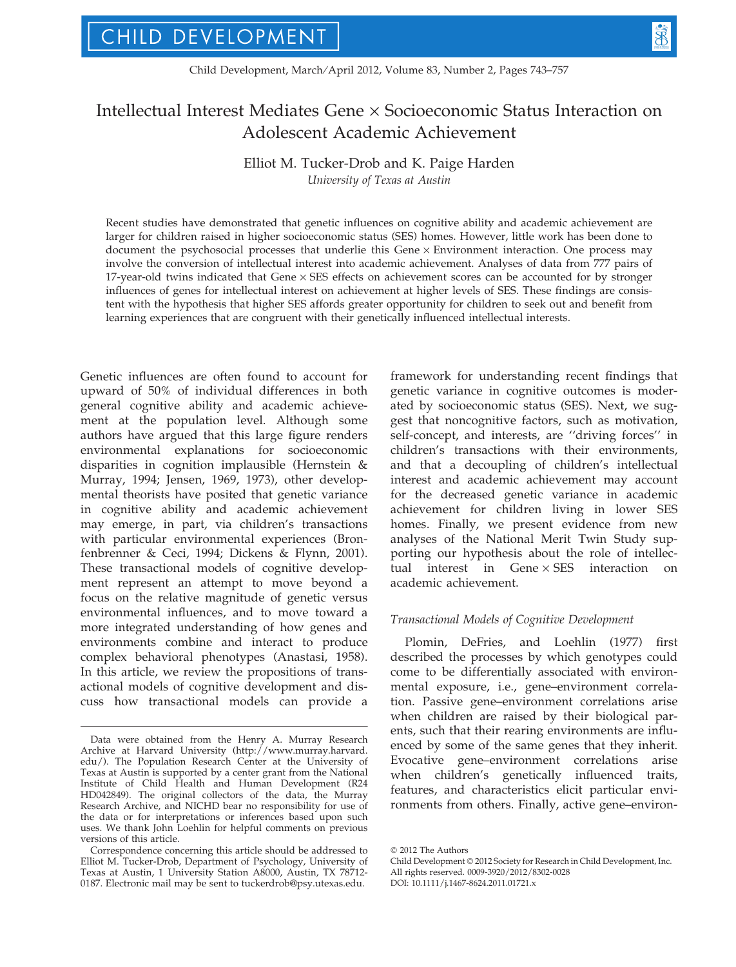# Intellectual Interest Mediates Gene  $\times$  Socioeconomic Status Interaction on Adolescent Academic Achievement

Elliot M. Tucker-Drob and K. Paige Harden

University of Texas at Austin

Recent studies have demonstrated that genetic influences on cognitive ability and academic achievement are larger for children raised in higher socioeconomic status (SES) homes. However, little work has been done to document the psychosocial processes that underlie this Gene  $\times$  Environment interaction. One process may involve the conversion of intellectual interest into academic achievement. Analyses of data from 777 pairs of 17-year-old twins indicated that Gene  $\times$  SES effects on achievement scores can be accounted for by stronger influences of genes for intellectual interest on achievement at higher levels of SES. These findings are consistent with the hypothesis that higher SES affords greater opportunity for children to seek out and benefit from learning experiences that are congruent with their genetically influenced intellectual interests.

Genetic influences are often found to account for upward of 50% of individual differences in both general cognitive ability and academic achievement at the population level. Although some authors have argued that this large figure renders environmental explanations for socioeconomic disparities in cognition implausible (Hernstein & Murray, 1994; Jensen, 1969, 1973), other developmental theorists have posited that genetic variance in cognitive ability and academic achievement may emerge, in part, via children's transactions with particular environmental experiences (Bronfenbrenner & Ceci, 1994; Dickens & Flynn, 2001). These transactional models of cognitive development represent an attempt to move beyond a focus on the relative magnitude of genetic versus environmental influences, and to move toward a more integrated understanding of how genes and environments combine and interact to produce complex behavioral phenotypes (Anastasi, 1958). In this article, we review the propositions of transactional models of cognitive development and discuss how transactional models can provide a

framework for understanding recent findings that genetic variance in cognitive outcomes is moderated by socioeconomic status (SES). Next, we suggest that noncognitive factors, such as motivation, self-concept, and interests, are ''driving forces'' in children's transactions with their environments, and that a decoupling of children's intellectual interest and academic achievement may account for the decreased genetic variance in academic achievement for children living in lower SES homes. Finally, we present evidence from new analyses of the National Merit Twin Study supporting our hypothesis about the role of intellectual interest in  $Gene \times SES$  interaction on academic achievement.

#### Transactional Models of Cognitive Development

Plomin, DeFries, and Loehlin (1977) first described the processes by which genotypes could come to be differentially associated with environmental exposure, i.e., gene–environment correlation. Passive gene–environment correlations arise when children are raised by their biological parents, such that their rearing environments are influenced by some of the same genes that they inherit. Evocative gene–environment correlations arise when children's genetically influenced traits, features, and characteristics elicit particular environments from others. Finally, active gene–environ-

Data were obtained from the Henry A. Murray Research Archive at Harvard University (http://www.murray.harvard. edu/). The Population Research Center at the University of Texas at Austin is supported by a center grant from the National Institute of Child Health and Human Development (R24 HD042849). The original collectors of the data, the Murray Research Archive, and NICHD bear no responsibility for use of the data or for interpretations or inferences based upon such uses. We thank John Loehlin for helpful comments on previous versions of this article.

Correspondence concerning this article should be addressed to Elliot M. Tucker-Drob, Department of Psychology, University of Texas at Austin, 1 University Station A8000, Austin, TX 78712- 0187. Electronic mail may be sent to tuckerdrob@psy.utexas.edu.

<sup>© 2012</sup> The Authors

Child Development © 2012 Society for Research in Child Development, Inc. All rights reserved. 0009-3920/2012/8302-0028

DOI: 10.1111/j.1467-8624.2011.01721.x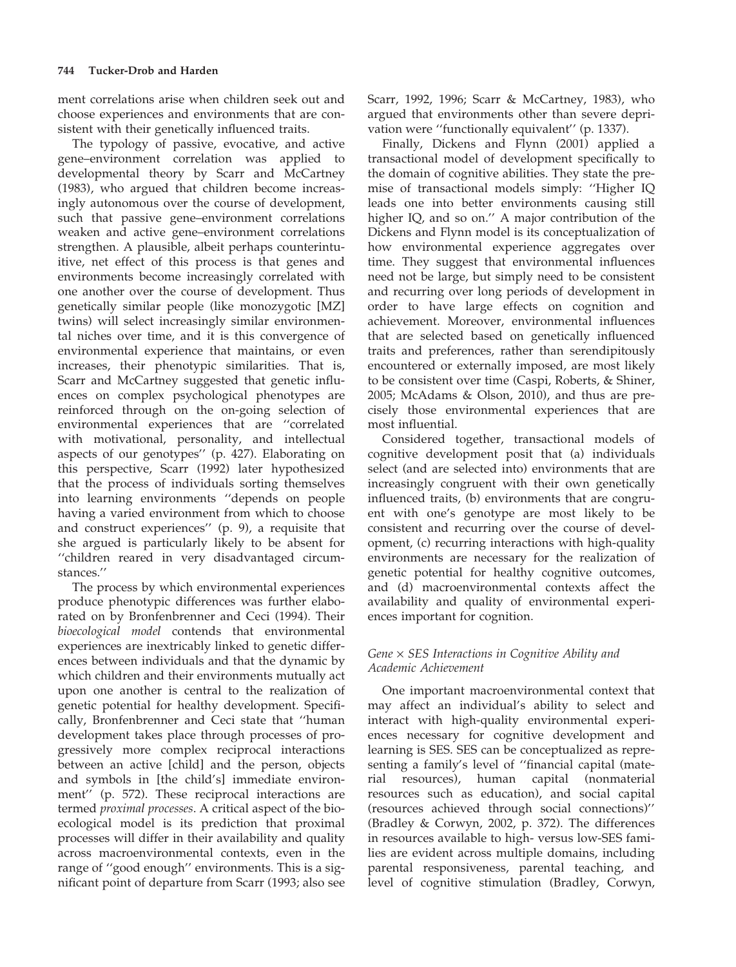ment correlations arise when children seek out and choose experiences and environments that are consistent with their genetically influenced traits.

The typology of passive, evocative, and active gene–environment correlation was applied to developmental theory by Scarr and McCartney (1983), who argued that children become increasingly autonomous over the course of development, such that passive gene–environment correlations weaken and active gene–environment correlations strengthen. A plausible, albeit perhaps counterintuitive, net effect of this process is that genes and environments become increasingly correlated with one another over the course of development. Thus genetically similar people (like monozygotic [MZ] twins) will select increasingly similar environmental niches over time, and it is this convergence of environmental experience that maintains, or even increases, their phenotypic similarities. That is, Scarr and McCartney suggested that genetic influences on complex psychological phenotypes are reinforced through on the on-going selection of environmental experiences that are ''correlated with motivational, personality, and intellectual aspects of our genotypes'' (p. 427). Elaborating on this perspective, Scarr (1992) later hypothesized that the process of individuals sorting themselves into learning environments ''depends on people having a varied environment from which to choose and construct experiences'' (p. 9), a requisite that she argued is particularly likely to be absent for ''children reared in very disadvantaged circumstances.''

The process by which environmental experiences produce phenotypic differences was further elaborated on by Bronfenbrenner and Ceci (1994). Their bioecological model contends that environmental experiences are inextricably linked to genetic differences between individuals and that the dynamic by which children and their environments mutually act upon one another is central to the realization of genetic potential for healthy development. Specifically, Bronfenbrenner and Ceci state that ''human development takes place through processes of progressively more complex reciprocal interactions between an active [child] and the person, objects and symbols in [the child's] immediate environment'' (p. 572). These reciprocal interactions are termed proximal processes. A critical aspect of the bioecological model is its prediction that proximal processes will differ in their availability and quality across macroenvironmental contexts, even in the range of ''good enough'' environments. This is a significant point of departure from Scarr (1993; also see

Scarr, 1992, 1996; Scarr & McCartney, 1983), who argued that environments other than severe deprivation were ''functionally equivalent'' (p. 1337).

Finally, Dickens and Flynn (2001) applied a transactional model of development specifically to the domain of cognitive abilities. They state the premise of transactional models simply: ''Higher IQ leads one into better environments causing still higher IQ, and so on.'' A major contribution of the Dickens and Flynn model is its conceptualization of how environmental experience aggregates over time. They suggest that environmental influences need not be large, but simply need to be consistent and recurring over long periods of development in order to have large effects on cognition and achievement. Moreover, environmental influences that are selected based on genetically influenced traits and preferences, rather than serendipitously encountered or externally imposed, are most likely to be consistent over time (Caspi, Roberts, & Shiner, 2005; McAdams & Olson, 2010), and thus are precisely those environmental experiences that are most influential.

Considered together, transactional models of cognitive development posit that (a) individuals select (and are selected into) environments that are increasingly congruent with their own genetically influenced traits, (b) environments that are congruent with one's genotype are most likely to be consistent and recurring over the course of development, (c) recurring interactions with high-quality environments are necessary for the realization of genetic potential for healthy cognitive outcomes, and (d) macroenvironmental contexts affect the availability and quality of environmental experiences important for cognition.

# Gene  $\times$  SES Interactions in Cognitive Ability and Academic Achievement

One important macroenvironmental context that may affect an individual's ability to select and interact with high-quality environmental experiences necessary for cognitive development and learning is SES. SES can be conceptualized as representing a family's level of ''financial capital (material resources), human capital (nonmaterial resources such as education), and social capital (resources achieved through social connections)'' (Bradley & Corwyn, 2002, p. 372). The differences in resources available to high- versus low-SES families are evident across multiple domains, including parental responsiveness, parental teaching, and level of cognitive stimulation (Bradley, Corwyn,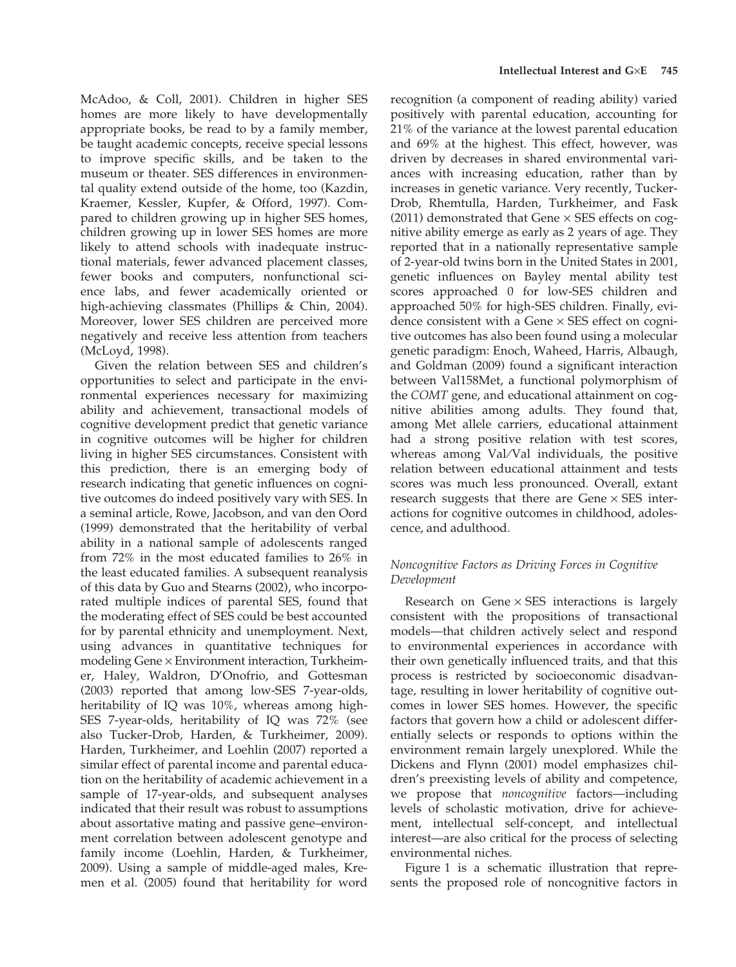McAdoo, & Coll, 2001). Children in higher SES homes are more likely to have developmentally appropriate books, be read to by a family member, be taught academic concepts, receive special lessons to improve specific skills, and be taken to the museum or theater. SES differences in environmental quality extend outside of the home, too (Kazdin, Kraemer, Kessler, Kupfer, & Offord, 1997). Compared to children growing up in higher SES homes, children growing up in lower SES homes are more likely to attend schools with inadequate instructional materials, fewer advanced placement classes, fewer books and computers, nonfunctional science labs, and fewer academically oriented or high-achieving classmates (Phillips & Chin, 2004). Moreover, lower SES children are perceived more negatively and receive less attention from teachers (McLoyd, 1998).

Given the relation between SES and children's opportunities to select and participate in the environmental experiences necessary for maximizing ability and achievement, transactional models of cognitive development predict that genetic variance in cognitive outcomes will be higher for children living in higher SES circumstances. Consistent with this prediction, there is an emerging body of research indicating that genetic influences on cognitive outcomes do indeed positively vary with SES. In a seminal article, Rowe, Jacobson, and van den Oord (1999) demonstrated that the heritability of verbal ability in a national sample of adolescents ranged from 72% in the most educated families to 26% in the least educated families. A subsequent reanalysis of this data by Guo and Stearns (2002), who incorporated multiple indices of parental SES, found that the moderating effect of SES could be best accounted for by parental ethnicity and unemployment. Next, using advances in quantitative techniques for modeling Gene  $\times$  Environment interaction, Turkheimer, Haley, Waldron, D'Onofrio, and Gottesman (2003) reported that among low-SES 7-year-olds, heritability of IQ was 10%, whereas among high-SES 7-year-olds, heritability of IQ was 72% (see also Tucker-Drob, Harden, & Turkheimer, 2009). Harden, Turkheimer, and Loehlin (2007) reported a similar effect of parental income and parental education on the heritability of academic achievement in a sample of 17-year-olds, and subsequent analyses indicated that their result was robust to assumptions about assortative mating and passive gene–environment correlation between adolescent genotype and family income (Loehlin, Harden, & Turkheimer, 2009). Using a sample of middle-aged males, Kremen et al. (2005) found that heritability for word

recognition (a component of reading ability) varied positively with parental education, accounting for 21% of the variance at the lowest parental education and 69% at the highest. This effect, however, was driven by decreases in shared environmental variances with increasing education, rather than by increases in genetic variance. Very recently, Tucker-Drob, Rhemtulla, Harden, Turkheimer, and Fask (2011) demonstrated that Gene  $\times$  SES effects on cognitive ability emerge as early as 2 years of age. They reported that in a nationally representative sample of 2-year-old twins born in the United States in 2001, genetic influences on Bayley mental ability test scores approached 0 for low-SES children and approached 50% for high-SES children. Finally, evidence consistent with a Gene  $\times$  SES effect on cognitive outcomes has also been found using a molecular genetic paradigm: Enoch, Waheed, Harris, Albaugh, and Goldman (2009) found a significant interaction between Val158Met, a functional polymorphism of the COMT gene, and educational attainment on cognitive abilities among adults. They found that, among Met allele carriers, educational attainment had a strong positive relation with test scores, whereas among Val/Val individuals, the positive relation between educational attainment and tests scores was much less pronounced. Overall, extant research suggests that there are Gene  $\times$  SES interactions for cognitive outcomes in childhood, adolescence, and adulthood.

# Noncognitive Factors as Driving Forces in Cognitive Development

Research on Gene  $\times$  SES interactions is largely consistent with the propositions of transactional models—that children actively select and respond to environmental experiences in accordance with their own genetically influenced traits, and that this process is restricted by socioeconomic disadvantage, resulting in lower heritability of cognitive outcomes in lower SES homes. However, the specific factors that govern how a child or adolescent differentially selects or responds to options within the environment remain largely unexplored. While the Dickens and Flynn (2001) model emphasizes children's preexisting levels of ability and competence, we propose that noncognitive factors—including levels of scholastic motivation, drive for achievement, intellectual self-concept, and intellectual interest—are also critical for the process of selecting environmental niches.

Figure 1 is a schematic illustration that represents the proposed role of noncognitive factors in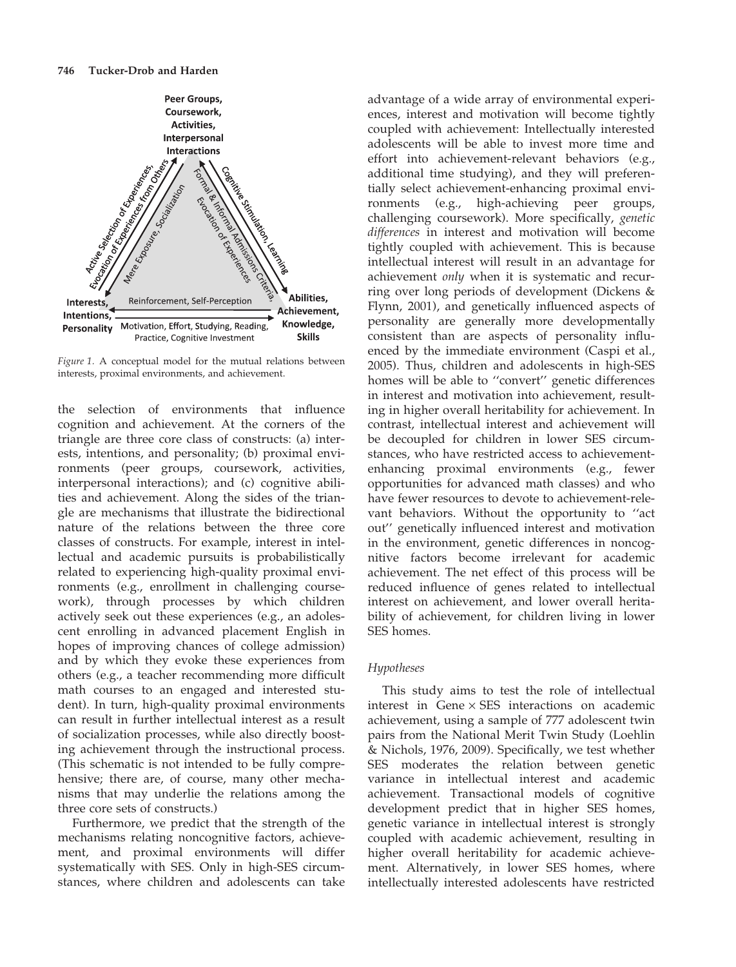

Figure 1. A conceptual model for the mutual relations between interests, proximal environments, and achievement.

the selection of environments that influence cognition and achievement. At the corners of the triangle are three core class of constructs: (a) interests, intentions, and personality; (b) proximal environments (peer groups, coursework, activities, interpersonal interactions); and (c) cognitive abilities and achievement. Along the sides of the triangle are mechanisms that illustrate the bidirectional nature of the relations between the three core classes of constructs. For example, interest in intellectual and academic pursuits is probabilistically related to experiencing high-quality proximal environments (e.g., enrollment in challenging coursework), through processes by which children actively seek out these experiences (e.g., an adolescent enrolling in advanced placement English in hopes of improving chances of college admission) and by which they evoke these experiences from others (e.g., a teacher recommending more difficult math courses to an engaged and interested student). In turn, high-quality proximal environments can result in further intellectual interest as a result of socialization processes, while also directly boosting achievement through the instructional process. (This schematic is not intended to be fully comprehensive; there are, of course, many other mechanisms that may underlie the relations among the three core sets of constructs.)

Furthermore, we predict that the strength of the mechanisms relating noncognitive factors, achievement, and proximal environments will differ systematically with SES. Only in high-SES circumstances, where children and adolescents can take advantage of a wide array of environmental experiences, interest and motivation will become tightly coupled with achievement: Intellectually interested adolescents will be able to invest more time and effort into achievement-relevant behaviors (e.g., additional time studying), and they will preferentially select achievement-enhancing proximal environments (e.g., high-achieving peer groups, challenging coursework). More specifically, genetic differences in interest and motivation will become tightly coupled with achievement. This is because intellectual interest will result in an advantage for achievement only when it is systematic and recurring over long periods of development (Dickens & Flynn, 2001), and genetically influenced aspects of personality are generally more developmentally consistent than are aspects of personality influenced by the immediate environment (Caspi et al., 2005). Thus, children and adolescents in high-SES homes will be able to ''convert'' genetic differences in interest and motivation into achievement, resulting in higher overall heritability for achievement. In contrast, intellectual interest and achievement will be decoupled for children in lower SES circumstances, who have restricted access to achievementenhancing proximal environments (e.g., fewer opportunities for advanced math classes) and who have fewer resources to devote to achievement-relevant behaviors. Without the opportunity to ''act out'' genetically influenced interest and motivation in the environment, genetic differences in noncognitive factors become irrelevant for academic achievement. The net effect of this process will be reduced influence of genes related to intellectual interest on achievement, and lower overall heritability of achievement, for children living in lower SES homes.

#### Hypotheses

This study aims to test the role of intellectual interest in Gene  $\times$  SES interactions on academic achievement, using a sample of 777 adolescent twin pairs from the National Merit Twin Study (Loehlin & Nichols, 1976, 2009). Specifically, we test whether SES moderates the relation between genetic variance in intellectual interest and academic achievement. Transactional models of cognitive development predict that in higher SES homes, genetic variance in intellectual interest is strongly coupled with academic achievement, resulting in higher overall heritability for academic achievement. Alternatively, in lower SES homes, where intellectually interested adolescents have restricted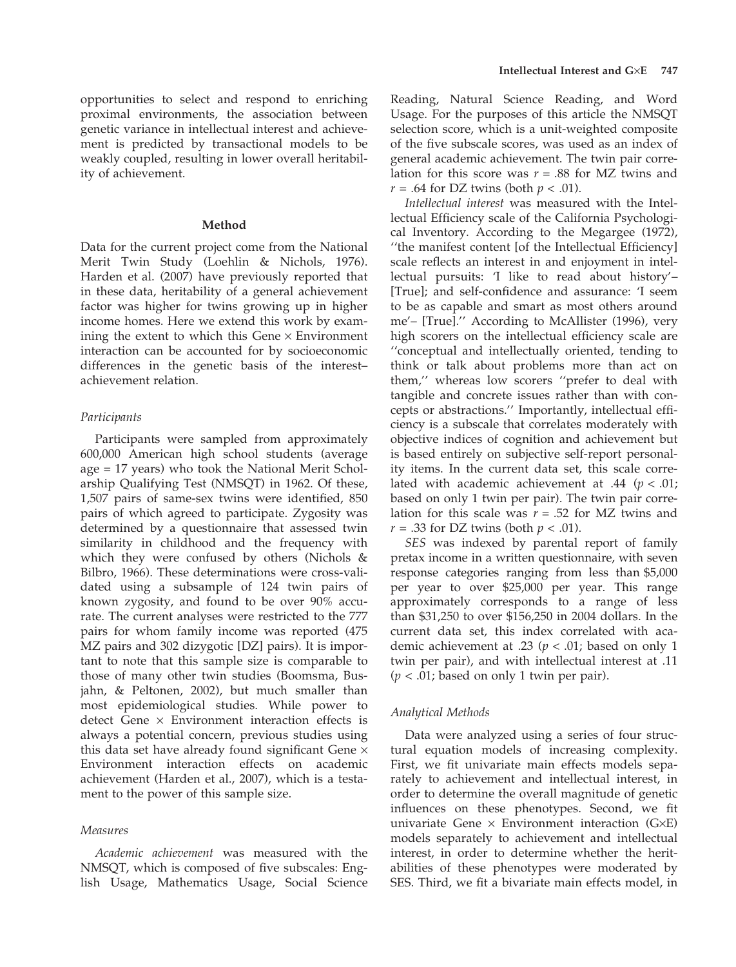opportunities to select and respond to enriching proximal environments, the association between genetic variance in intellectual interest and achievement is predicted by transactional models to be weakly coupled, resulting in lower overall heritability of achievement.

#### Method

Data for the current project come from the National Merit Twin Study (Loehlin & Nichols, 1976). Harden et al. (2007) have previously reported that in these data, heritability of a general achievement factor was higher for twins growing up in higher income homes. Here we extend this work by examining the extent to which this Gene  $\times$  Environment interaction can be accounted for by socioeconomic differences in the genetic basis of the interest– achievement relation.

#### Participants

Participants were sampled from approximately 600,000 American high school students (average age = 17 years) who took the National Merit Scholarship Qualifying Test (NMSQT) in 1962. Of these, 1,507 pairs of same-sex twins were identified, 850 pairs of which agreed to participate. Zygosity was determined by a questionnaire that assessed twin similarity in childhood and the frequency with which they were confused by others (Nichols & Bilbro, 1966). These determinations were cross-validated using a subsample of 124 twin pairs of known zygosity, and found to be over 90% accurate. The current analyses were restricted to the 777 pairs for whom family income was reported (475 MZ pairs and 302 dizygotic [DZ] pairs). It is important to note that this sample size is comparable to those of many other twin studies (Boomsma, Busjahn, & Peltonen, 2002), but much smaller than most epidemiological studies. While power to detect Gene  $\times$  Environment interaction effects is always a potential concern, previous studies using this data set have already found significant Gene  $\times$ Environment interaction effects on academic achievement (Harden et al., 2007), which is a testament to the power of this sample size.

## Measures

Academic achievement was measured with the NMSQT, which is composed of five subscales: English Usage, Mathematics Usage, Social Science Reading, Natural Science Reading, and Word Usage. For the purposes of this article the NMSQT selection score, which is a unit-weighted composite of the five subscale scores, was used as an index of general academic achievement. The twin pair correlation for this score was  $r = .88$  for MZ twins and  $r = .64$  for DZ twins (both  $p < .01$ ).

Intellectual interest was measured with the Intellectual Efficiency scale of the California Psychological Inventory. According to the Megargee (1972), ''the manifest content [of the Intellectual Efficiency] scale reflects an interest in and enjoyment in intellectual pursuits: 'I like to read about history'– [True]; and self-confidence and assurance: 'I seem to be as capable and smart as most others around me'– [True].'' According to McAllister (1996), very high scorers on the intellectual efficiency scale are ''conceptual and intellectually oriented, tending to think or talk about problems more than act on them,'' whereas low scorers ''prefer to deal with tangible and concrete issues rather than with concepts or abstractions.'' Importantly, intellectual efficiency is a subscale that correlates moderately with objective indices of cognition and achievement but is based entirely on subjective self-report personality items. In the current data set, this scale correlated with academic achievement at .44 ( $p < .01$ ; based on only 1 twin per pair). The twin pair correlation for this scale was  $r = .52$  for MZ twins and  $r = .33$  for DZ twins (both  $p < .01$ ).

SES was indexed by parental report of family pretax income in a written questionnaire, with seven response categories ranging from less than \$5,000 per year to over \$25,000 per year. This range approximately corresponds to a range of less than \$31,250 to over \$156,250 in 2004 dollars. In the current data set, this index correlated with academic achievement at .23 ( $p < .01$ ; based on only 1 twin per pair), and with intellectual interest at .11  $(p < .01;$  based on only 1 twin per pair).

#### Analytical Methods

Data were analyzed using a series of four structural equation models of increasing complexity. First, we fit univariate main effects models separately to achievement and intellectual interest, in order to determine the overall magnitude of genetic influences on these phenotypes. Second, we fit univariate Gene  $\times$  Environment interaction (G $\times$ E) models separately to achievement and intellectual interest, in order to determine whether the heritabilities of these phenotypes were moderated by SES. Third, we fit a bivariate main effects model, in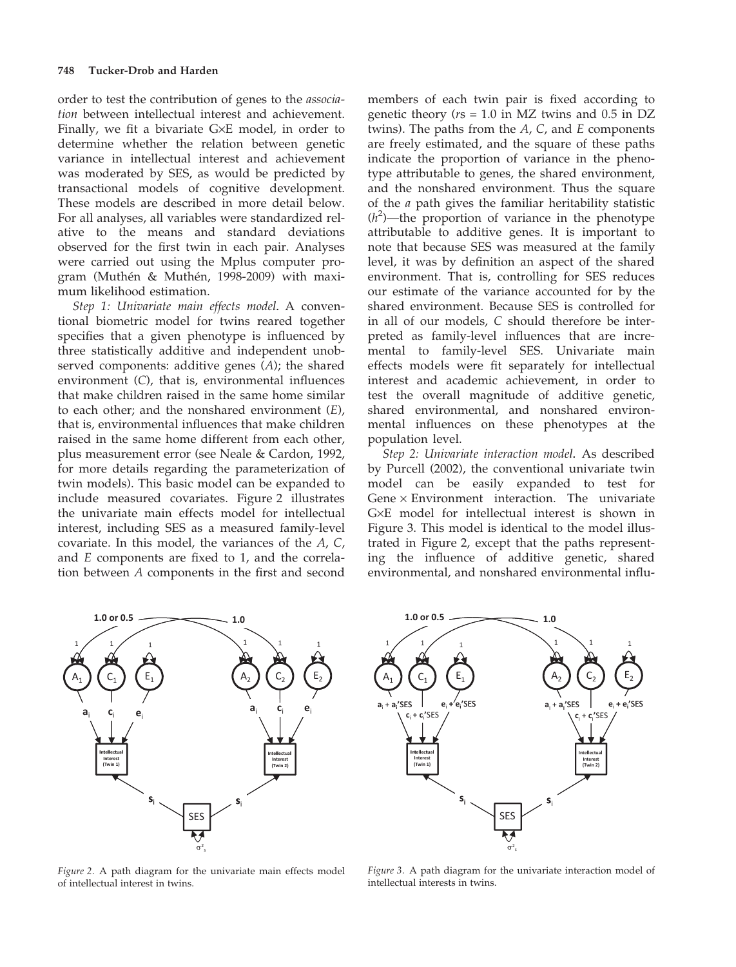order to test the contribution of genes to the association between intellectual interest and achievement. Finally, we fit a bivariate G×E model, in order to determine whether the relation between genetic variance in intellectual interest and achievement was moderated by SES, as would be predicted by transactional models of cognitive development. These models are described in more detail below. For all analyses, all variables were standardized relative to the means and standard deviations observed for the first twin in each pair. Analyses were carried out using the Mplus computer program (Muthén & Muthén, 1998-2009) with maximum likelihood estimation.

Step 1: Univariate main effects model. A conventional biometric model for twins reared together specifies that a given phenotype is influenced by three statistically additive and independent unobserved components: additive genes (A); the shared environment (C), that is, environmental influences that make children raised in the same home similar to each other; and the nonshared environment (E), that is, environmental influences that make children raised in the same home different from each other, plus measurement error (see Neale & Cardon, 1992, for more details regarding the parameterization of twin models). This basic model can be expanded to include measured covariates. Figure 2 illustrates the univariate main effects model for intellectual interest, including SES as a measured family-level covariate. In this model, the variances of the A, C, and E components are fixed to 1, and the correlation between A components in the first and second members of each twin pair is fixed according to genetic theory ( $rs = 1.0$  in MZ twins and 0.5 in DZ twins). The paths from the  $A$ ,  $C$ , and  $E$  components are freely estimated, and the square of these paths indicate the proportion of variance in the phenotype attributable to genes, the shared environment, and the nonshared environment. Thus the square of the a path gives the familiar heritability statistic  $(h<sup>2</sup>)$ —the proportion of variance in the phenotype attributable to additive genes. It is important to note that because SES was measured at the family level, it was by definition an aspect of the shared environment. That is, controlling for SES reduces our estimate of the variance accounted for by the shared environment. Because SES is controlled for in all of our models, C should therefore be interpreted as family-level influences that are incremental to family-level SES. Univariate main effects models were fit separately for intellectual interest and academic achievement, in order to test the overall magnitude of additive genetic, shared environmental, and nonshared environmental influences on these phenotypes at the population level.

Step 2: Univariate interaction model. As described by Purcell (2002), the conventional univariate twin model can be easily expanded to test for Gene  $\times$  Environment interaction. The univariate G×E model for intellectual interest is shown in Figure 3. This model is identical to the model illustrated in Figure 2, except that the paths representing the influence of additive genetic, shared environmental, and nonshared environmental influ-



Figure 2. A path diagram for the univariate main effects model of intellectual interest in twins.



Figure 3. A path diagram for the univariate interaction model of intellectual interests in twins.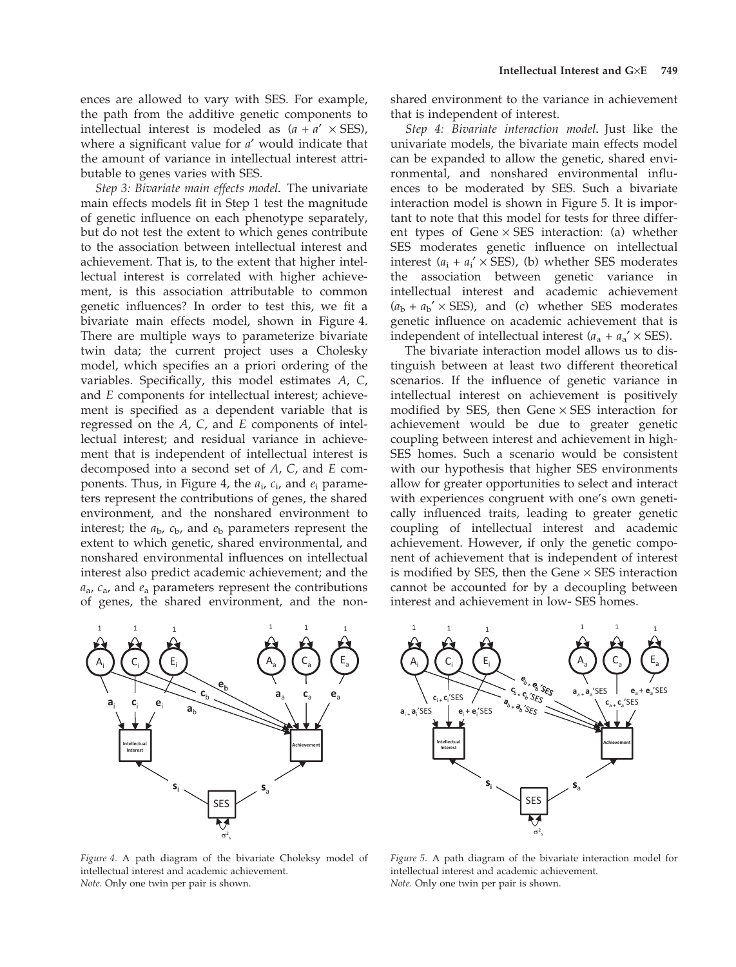ences are allowed to vary with SES. For example, the path from the additive genetic components to intellectual interest is modeled as  $(a + a' \times SES)$ , where a significant value for  $a'$  would indicate that the amount of variance in intellectual interest attributable to genes varies with SES.

Step 3: Bivariate main effects model. The univariate main effects models fit in Step 1 test the magnitude of genetic influence on each phenotype separately, but do not test the extent to which genes contribute to the association between intellectual interest and achievement. That is, to the extent that higher intellectual interest is correlated with higher achievement, is this association attributable to common genetic influences? In order to test this, we fit a bivariate main effects model, shown in Figure 4. There are multiple ways to parameterize bivariate twin data; the current project uses a Cholesky model, which specifies an a priori ordering of the variables. Specifically, this model estimates A, C, and E components for intellectual interest; achievement is specified as a dependent variable that is regressed on the  $A$ ,  $C$ , and  $E$  components of intellectual interest; and residual variance in achievement that is independent of intellectual interest is decomposed into a second set of  $A$ ,  $C$ , and  $E$  components. Thus, in Figure 4, the  $a_i$ ,  $c_i$ , and  $e_i$  parameters represent the contributions of genes, the shared environment, and the nonshared environment to interest; the  $a_{\rm b}$ ,  $c_{\rm b}$ , and  $e_{\rm b}$  parameters represent the extent to which genetic, shared environmental, and nonshared environmental influences on intellectual interest also predict academic achievement; and the  $a_{\rm a}$ ,  $c_{\rm a}$ , and  $e_{\rm a}$  parameters represent the contributions of genes, the shared environment, and the non-



Figure 4. A path diagram of the bivariate Choleksy model of intellectual interest and academic achievement. Note. Only one twin per pair is shown.

shared environment to the variance in achievement that is independent of interest.

Step 4: Bivariate interaction model. Just like the univariate models, the bivariate main effects model can be expanded to allow the genetic, shared environmental, and nonshared environmental influences to be moderated by SES. Such a bivariate interaction model is shown in Figure 5. It is important to note that this model for tests for three different types of  $Gene \times SES$  interaction: (a) whether SES moderates genetic influence on intellectual interest  $(a_i + a'_i \times SES)$ , (b) whether SES moderates the association between genetic variance in intellectual interest and academic achievement  $(a_b + a_b' \times SES)$ , and (c) whether SES moderates genetic influence on academic achievement that is independent of intellectual interest  $(a_a + a_a' \times SES)$ .

The bivariate interaction model allows us to distinguish between at least two different theoretical scenarios. If the influence of genetic variance in intellectual interest on achievement is positively modified by SES, then Gene  $\times$  SES interaction for achievement would be due to greater genetic coupling between interest and achievement in high-SES homes. Such a scenario would be consistent with our hypothesis that higher SES environments allow for greater opportunities to select and interact with experiences congruent with one's own genetically influenced traits, leading to greater genetic coupling of intellectual interest and academic achievement. However, if only the genetic component of achievement that is independent of interest is modified by SES, then the Gene  $\times$  SES interaction cannot be accounted for by a decoupling between interest and achievement in low- SES homes.



Figure 5. A path diagram of the bivariate interaction model for intellectual interest and academic achievement. Note. Only one twin per pair is shown.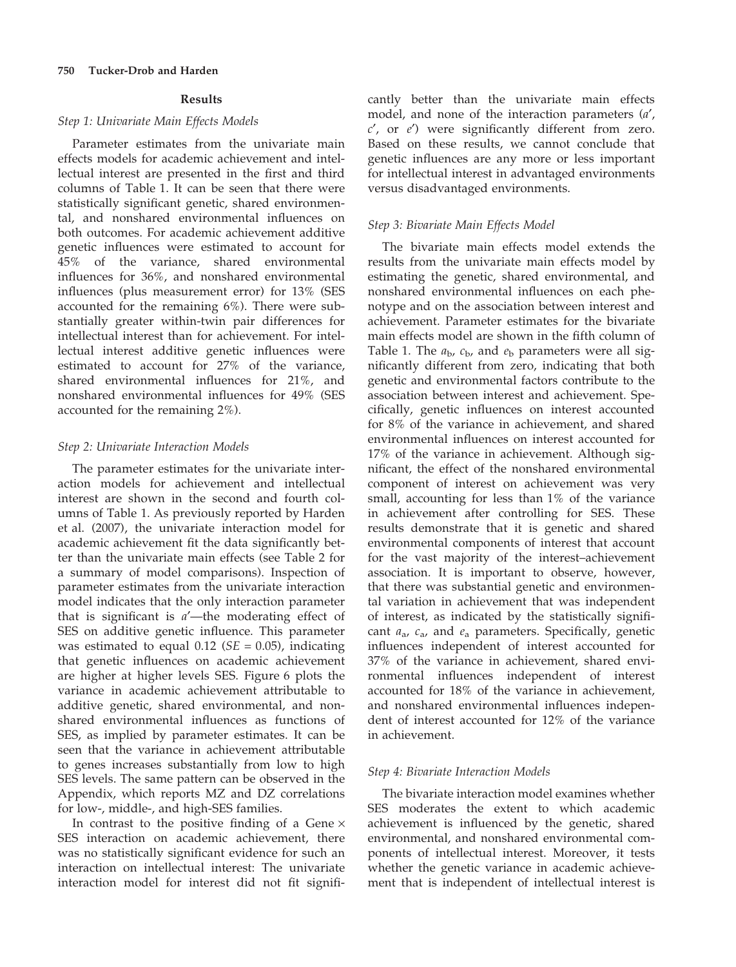#### Results

## Step 1: Univariate Main Effects Models

Parameter estimates from the univariate main effects models for academic achievement and intellectual interest are presented in the first and third columns of Table 1. It can be seen that there were statistically significant genetic, shared environmental, and nonshared environmental influences on both outcomes. For academic achievement additive genetic influences were estimated to account for 45% of the variance, shared environmental influences for 36%, and nonshared environmental influences (plus measurement error) for 13% (SES accounted for the remaining 6%). There were substantially greater within-twin pair differences for intellectual interest than for achievement. For intellectual interest additive genetic influences were estimated to account for 27% of the variance, shared environmental influences for 21%, and nonshared environmental influences for 49% (SES accounted for the remaining 2%).

### Step 2: Univariate Interaction Models

The parameter estimates for the univariate interaction models for achievement and intellectual interest are shown in the second and fourth columns of Table 1. As previously reported by Harden et al. (2007), the univariate interaction model for academic achievement fit the data significantly better than the univariate main effects (see Table 2 for a summary of model comparisons). Inspection of parameter estimates from the univariate interaction model indicates that the only interaction parameter that is significant is  $a'$ —the moderating effect of SES on additive genetic influence. This parameter was estimated to equal 0.12 ( $SE = 0.05$ ), indicating that genetic influences on academic achievement are higher at higher levels SES. Figure 6 plots the variance in academic achievement attributable to additive genetic, shared environmental, and nonshared environmental influences as functions of SES, as implied by parameter estimates. It can be seen that the variance in achievement attributable to genes increases substantially from low to high SES levels. The same pattern can be observed in the Appendix, which reports MZ and DZ correlations for low-, middle-, and high-SES families.

In contrast to the positive finding of a Gene  $\times$ SES interaction on academic achievement, there was no statistically significant evidence for such an interaction on intellectual interest: The univariate interaction model for interest did not fit significantly better than the univariate main effects model, and none of the interaction parameters  $(a', \)$  $c'$ , or  $e'$ ) were significantly different from zero. Based on these results, we cannot conclude that genetic influences are any more or less important for intellectual interest in advantaged environments versus disadvantaged environments.

## Step 3: Bivariate Main Effects Model

The bivariate main effects model extends the results from the univariate main effects model by estimating the genetic, shared environmental, and nonshared environmental influences on each phenotype and on the association between interest and achievement. Parameter estimates for the bivariate main effects model are shown in the fifth column of Table 1. The  $a_{\rm b}$ ,  $c_{\rm b}$ , and  $e_{\rm b}$  parameters were all significantly different from zero, indicating that both genetic and environmental factors contribute to the association between interest and achievement. Specifically, genetic influences on interest accounted for 8% of the variance in achievement, and shared environmental influences on interest accounted for 17% of the variance in achievement. Although significant, the effect of the nonshared environmental component of interest on achievement was very small, accounting for less than 1% of the variance in achievement after controlling for SES. These results demonstrate that it is genetic and shared environmental components of interest that account for the vast majority of the interest–achievement association. It is important to observe, however, that there was substantial genetic and environmental variation in achievement that was independent of interest, as indicated by the statistically significant  $a_{\alpha}$ ,  $c_{\alpha}$ , and  $e_{\alpha}$  parameters. Specifically, genetic influences independent of interest accounted for 37% of the variance in achievement, shared environmental influences independent of interest accounted for 18% of the variance in achievement, and nonshared environmental influences independent of interest accounted for 12% of the variance in achievement.

#### Step 4: Bivariate Interaction Models

The bivariate interaction model examines whether SES moderates the extent to which academic achievement is influenced by the genetic, shared environmental, and nonshared environmental components of intellectual interest. Moreover, it tests whether the genetic variance in academic achievement that is independent of intellectual interest is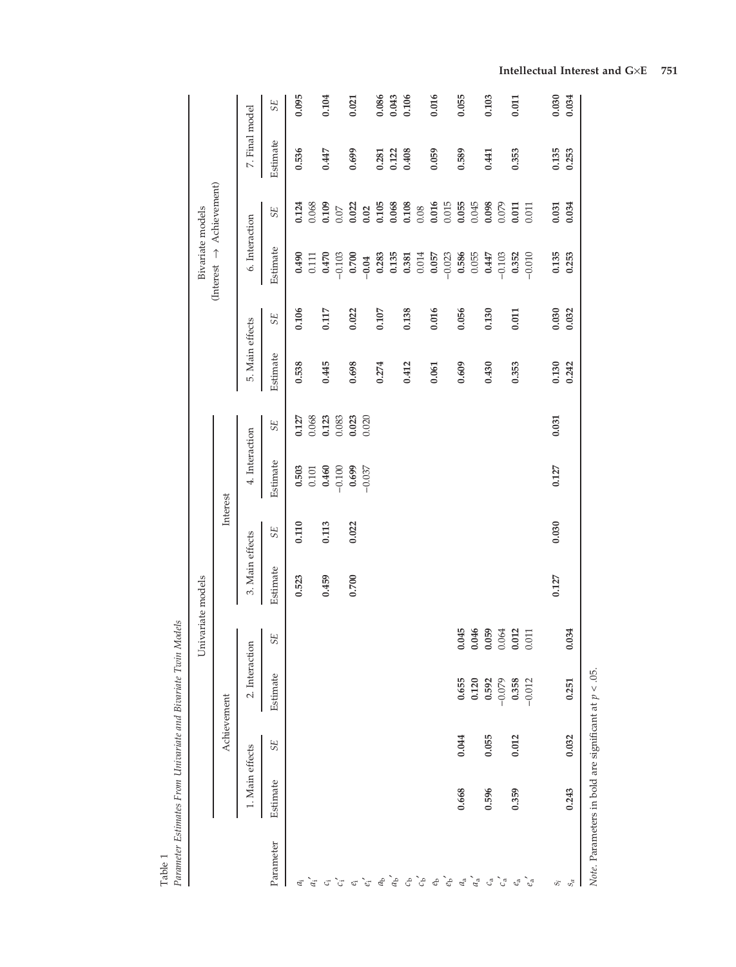|                              |                                                         |                |                | Univariate models |                 |          |                |           |                 |                | Bivariate models                     |        |                |           |
|------------------------------|---------------------------------------------------------|----------------|----------------|-------------------|-----------------|----------|----------------|-----------|-----------------|----------------|--------------------------------------|--------|----------------|-----------|
|                              |                                                         | Achievement    |                |                   |                 | Interest |                |           |                 |                | (Interest $\rightarrow$ Achievement) |        |                |           |
|                              | 1. Main effects                                         |                | 2. Interaction |                   | 3. Main effects |          | 4. Interaction |           | 5. Main effects |                | 6. Interaction                       |        | 7. Final model |           |
| Parameter                    | Estimate                                                | SE <sub></sub> | Estimate       | 5E                | Estimate        | 5E       | Estimate       | <b>SE</b> | Estimate        | SE <sub></sub> | Estimate                             | 5E     | Estimate       | <b>SE</b> |
| ď,                           |                                                         |                |                |                   | 0.523           | 0.110    | 0.503          | 0.127     | 0.538           | 0.106          | 0.490                                | 0.124  | 0.536          | 0.095     |
| $\vec{a}$                    |                                                         |                |                |                   |                 |          | 0.101          | 0.068     |                 |                | 0.111                                | 0.068  |                |           |
| Ġ                            |                                                         |                |                |                   | 0.459           | 0.113    | 0.460          | 0.123     | 0.445           | 0.117          | 0.470                                | 0.109  | 0.447          | 0.104     |
| ੱਹ                           |                                                         |                |                |                   |                 |          | $-0.100$       | 0.083     |                 |                | $-0.103$                             | $0.07$ |                |           |
| Ë,                           |                                                         |                |                |                   | 0.700           | 0.022    | 0.699          | 0.023     | 0.698           | 0.022          | 0.700                                | 0.022  | 0.699          | 0.021     |
| $e_i'$                       |                                                         |                |                |                   |                 |          | $-0.037$       | 0.020     |                 |                | $-0.04$                              | 0.02   |                |           |
| $d_{\rm D}$                  |                                                         |                |                |                   |                 |          |                |           | 0.274           | 0.107          | 0.283                                | 0.105  | 0.281          | 0.086     |
| $\mathcal{A}$                |                                                         |                |                |                   |                 |          |                |           |                 |                | 0.135                                | 0.068  | 0.122          | 0.043     |
|                              |                                                         |                |                |                   |                 |          |                |           | 0.412           | 0.138          | 0.381                                | 0.108  | 0.408          | 0.106     |
| ද `ද                         |                                                         |                |                |                   |                 |          |                |           |                 |                | 0.014                                | 0.08   |                |           |
|                              |                                                         |                |                |                   |                 |          |                |           | 0.061           | 0.016          | 0.057                                | 0.016  | 0.059          | 0.016     |
| చి చ                         |                                                         |                |                |                   |                 |          |                |           |                 |                | $-0.023$                             | 0.015  |                |           |
|                              | 0.668                                                   | 0.044          | 0.655          | 0.045             |                 |          |                |           | 0.609           | 0.056          | 0.586                                | 0.055  | 0.589          | 0.055     |
| $a_a^{\dagger}$              |                                                         |                | 0.120          | 0.046             |                 |          |                |           |                 |                | 0.055                                | 0.045  |                |           |
| $\mathcal{C}_{\mathfrak{a}}$ | 0.596                                                   | 0.055          | 0.592          | 0.059             |                 |          |                |           | 0.430           | 0.130          | 0.447                                | 0.098  | 0.441          | 0.103     |
| $c_a^{\prime}$               |                                                         |                | $-0.079$       | 0.064             |                 |          |                |           |                 |                | $-0.103$                             | 0.079  |                |           |
| $e_{\rm a}$                  | 0.359                                                   | 0.012          | 0.358          | 0.012             |                 |          |                |           | 0.353           | 0.011          | 0.352                                | 0.011  | 0.353          | 0.011     |
| $e_{\rm a}^{'}$              |                                                         |                | $-0.012$       | 0.011             |                 |          |                |           |                 |                | $-0.010$                             | 0.011  |                |           |
| $\ddot{s_i}$                 |                                                         |                |                |                   | 0.127           | 0.030    | 0.127          | 0.031     | 0.130           | 0.030          | 0.135                                | 0.031  | 0.135          | 0.030     |
| $s_a$                        | 0.243                                                   | 0.032          | 0.251          | 0.034             |                 |          |                |           | 0.242           | 0.032          | 0.253                                | 0.034  | 0.253          | 0.034     |
|                              | Note. Parameters in bold are significant at $p < .05$ . |                |                |                   |                 |          |                |           |                 |                |                                      |        |                |           |

Table 1<br>Parameter Estimates From Univariate and Bivariate Twin Models Parameter Estimates From Univariate and Bivariate Twin Models

Intellectual Interest and  $G \times E$  751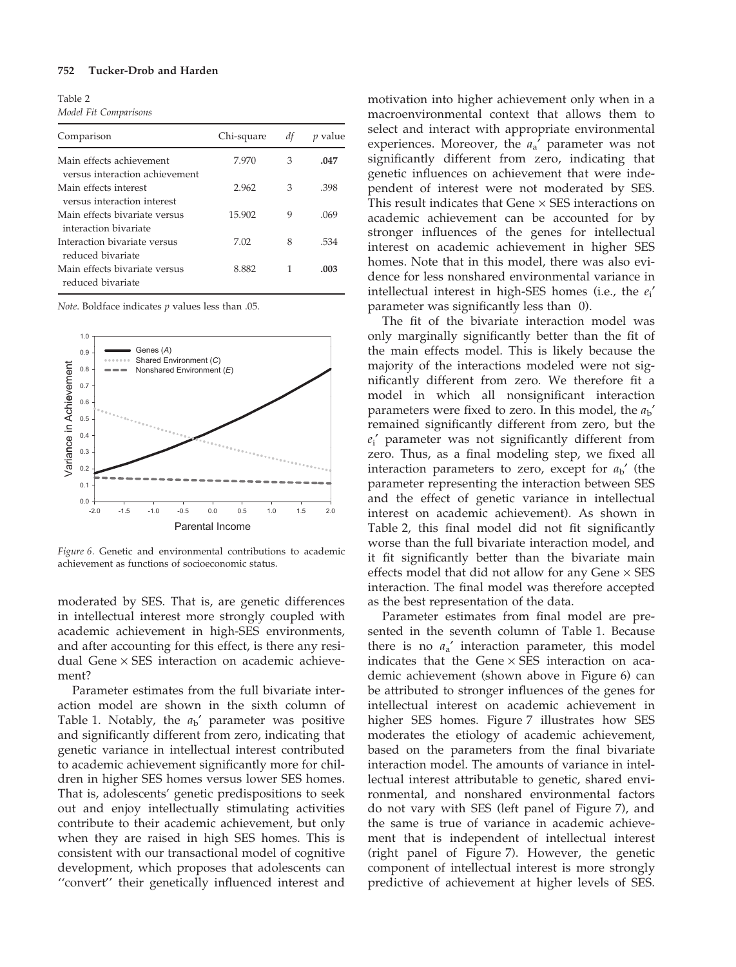#### 752 Tucker-Drob and Harden

Table 2 Model Fit Comparisons

| Comparison                                                 | Chi-square | df | $\nu$ value |
|------------------------------------------------------------|------------|----|-------------|
| Main effects achievement<br>versus interaction achievement | 7.970      | 3  | .047        |
| Main effects interest<br>versus interaction interest       | 2.962      | 3  | .398        |
| Main effects bivariate versus<br>interaction bivariate     | 15.902     | 9  | .069        |
| Interaction bivariate versus<br>reduced bivariate          | 7.02       | 8  | .534        |
| Main effects bivariate versus<br>reduced bivariate         | 8.882      | 1  | .003        |

Note. Boldface indicates  $p$  values less than .05.



Figure 6. Genetic and environmental contributions to academic achievement as functions of socioeconomic status.

moderated by SES. That is, are genetic differences in intellectual interest more strongly coupled with academic achievement in high-SES environments, and after accounting for this effect, is there any residual Gene  $\times$  SES interaction on academic achievement?

Parameter estimates from the full bivariate interaction model are shown in the sixth column of Table 1. Notably, the  $a_{b}^{\prime}$  parameter was positive and significantly different from zero, indicating that genetic variance in intellectual interest contributed to academic achievement significantly more for children in higher SES homes versus lower SES homes. That is, adolescents' genetic predispositions to seek out and enjoy intellectually stimulating activities contribute to their academic achievement, but only when they are raised in high SES homes. This is consistent with our transactional model of cognitive development, which proposes that adolescents can ''convert'' their genetically influenced interest and motivation into higher achievement only when in a macroenvironmental context that allows them to select and interact with appropriate environmental experiences. Moreover, the  $a_a'$  parameter was not significantly different from zero, indicating that genetic influences on achievement that were independent of interest were not moderated by SES. This result indicates that Gene  $\times$  SES interactions on academic achievement can be accounted for by stronger influences of the genes for intellectual interest on academic achievement in higher SES homes. Note that in this model, there was also evidence for less nonshared environmental variance in intellectual interest in high-SES homes (i.e., the  $e_i'$ parameter was significantly less than 0).

The fit of the bivariate interaction model was only marginally significantly better than the fit of the main effects model. This is likely because the majority of the interactions modeled were not significantly different from zero. We therefore fit a model in which all nonsignificant interaction parameters were fixed to zero. In this model, the  $a_{\rm b}^{\prime}$ remained significantly different from zero, but the  $e_i'$  parameter was not significantly different from zero. Thus, as a final modeling step, we fixed all interaction parameters to zero, except for  $a_{b}$ ' (the parameter representing the interaction between SES and the effect of genetic variance in intellectual interest on academic achievement). As shown in Table 2, this final model did not fit significantly worse than the full bivariate interaction model, and it fit significantly better than the bivariate main effects model that did not allow for any Gene  $\times$  SES interaction. The final model was therefore accepted as the best representation of the data.

Parameter estimates from final model are presented in the seventh column of Table 1. Because there is no  $a_a'$  interaction parameter, this model indicates that the Gene  $\times$  SES interaction on academic achievement (shown above in Figure 6) can be attributed to stronger influences of the genes for intellectual interest on academic achievement in higher SES homes. Figure 7 illustrates how SES moderates the etiology of academic achievement, based on the parameters from the final bivariate interaction model. The amounts of variance in intellectual interest attributable to genetic, shared environmental, and nonshared environmental factors do not vary with SES (left panel of Figure 7), and the same is true of variance in academic achievement that is independent of intellectual interest (right panel of Figure 7). However, the genetic component of intellectual interest is more strongly predictive of achievement at higher levels of SES.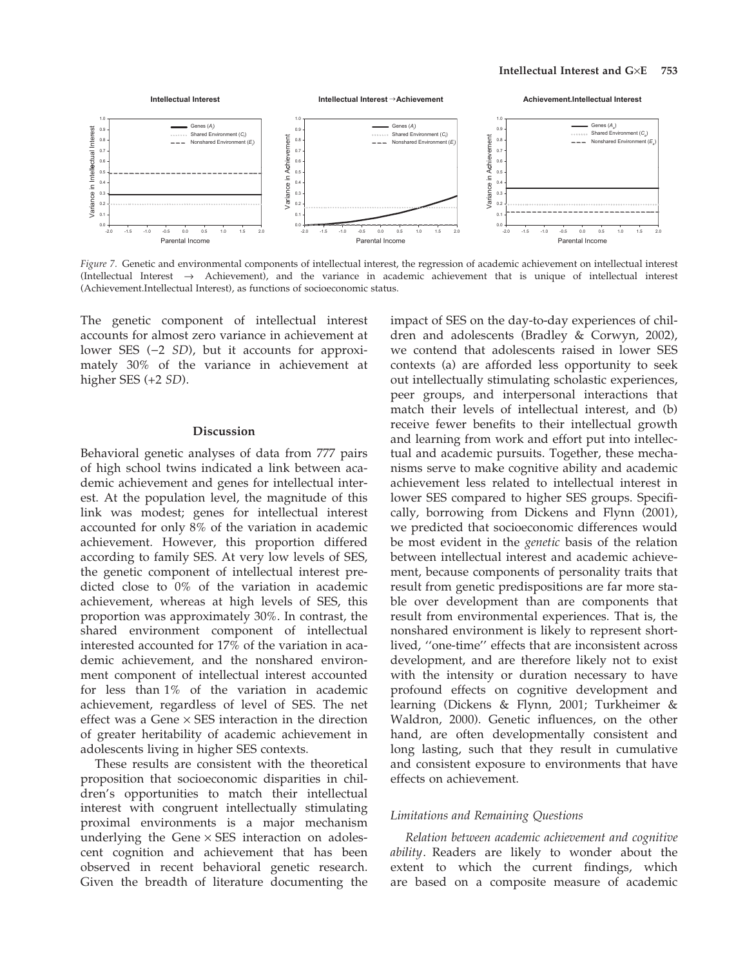#### Intellectual Interest and  $G \times E$  753



Figure 7. Genetic and environmental components of intellectual interest, the regression of academic achievement on intellectual interest (Intellectual Interest  $\rightarrow$  Achievement), and the variance in academic achievement that is unique of intellectual interest (Achievement.Intellectual Interest), as functions of socioeconomic status.

The genetic component of intellectual interest accounts for almost zero variance in achievement at lower SES  $(-2 SD)$ , but it accounts for approximately 30% of the variance in achievement at higher SES (+2 SD).

#### Discussion

Behavioral genetic analyses of data from 777 pairs of high school twins indicated a link between academic achievement and genes for intellectual interest. At the population level, the magnitude of this link was modest; genes for intellectual interest accounted for only 8% of the variation in academic achievement. However, this proportion differed according to family SES. At very low levels of SES, the genetic component of intellectual interest predicted close to 0% of the variation in academic achievement, whereas at high levels of SES, this proportion was approximately 30%. In contrast, the shared environment component of intellectual interested accounted for 17% of the variation in academic achievement, and the nonshared environment component of intellectual interest accounted for less than 1% of the variation in academic achievement, regardless of level of SES. The net effect was a Gene  $\times$  SES interaction in the direction of greater heritability of academic achievement in adolescents living in higher SES contexts.

These results are consistent with the theoretical proposition that socioeconomic disparities in children's opportunities to match their intellectual interest with congruent intellectually stimulating proximal environments is a major mechanism underlying the Gene  $\times$  SES interaction on adolescent cognition and achievement that has been observed in recent behavioral genetic research. Given the breadth of literature documenting the

impact of SES on the day-to-day experiences of children and adolescents (Bradley & Corwyn, 2002), we contend that adolescents raised in lower SES contexts (a) are afforded less opportunity to seek out intellectually stimulating scholastic experiences, peer groups, and interpersonal interactions that match their levels of intellectual interest, and (b) receive fewer benefits to their intellectual growth and learning from work and effort put into intellectual and academic pursuits. Together, these mechanisms serve to make cognitive ability and academic achievement less related to intellectual interest in lower SES compared to higher SES groups. Specifically, borrowing from Dickens and Flynn (2001), we predicted that socioeconomic differences would be most evident in the genetic basis of the relation between intellectual interest and academic achievement, because components of personality traits that result from genetic predispositions are far more stable over development than are components that result from environmental experiences. That is, the nonshared environment is likely to represent shortlived, ''one-time'' effects that are inconsistent across development, and are therefore likely not to exist with the intensity or duration necessary to have profound effects on cognitive development and learning (Dickens & Flynn, 2001; Turkheimer & Waldron, 2000). Genetic influences, on the other hand, are often developmentally consistent and long lasting, such that they result in cumulative and consistent exposure to environments that have effects on achievement.

#### Limitations and Remaining Questions

Relation between academic achievement and cognitive ability. Readers are likely to wonder about the extent to which the current findings, which are based on a composite measure of academic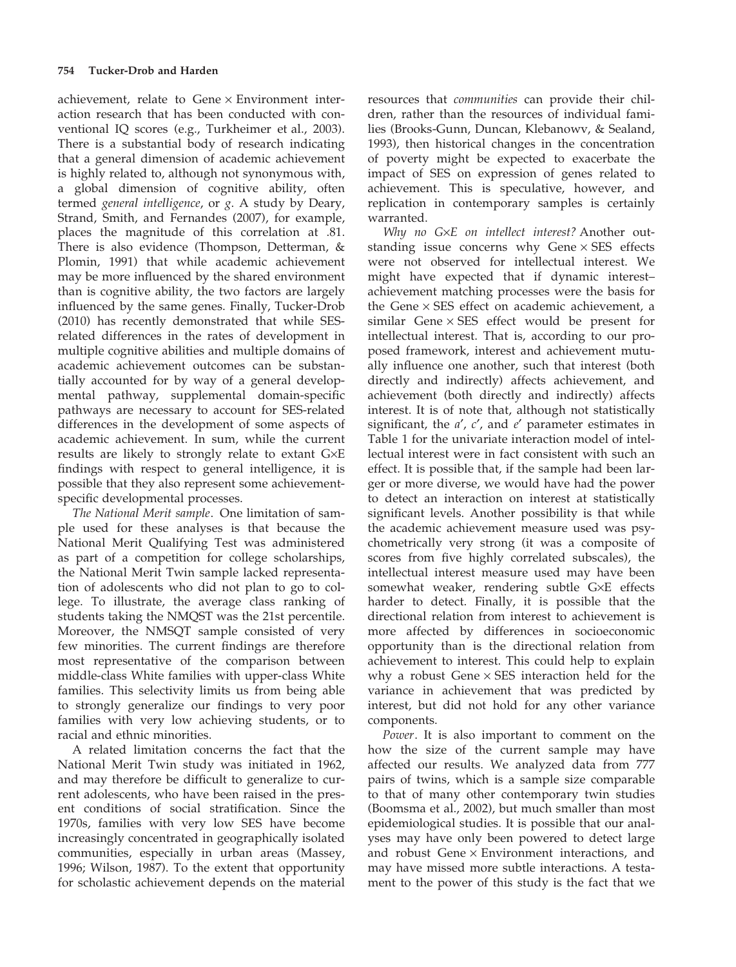achievement, relate to Gene  $\times$  Environment interaction research that has been conducted with conventional IQ scores (e.g., Turkheimer et al., 2003). There is a substantial body of research indicating that a general dimension of academic achievement is highly related to, although not synonymous with, a global dimension of cognitive ability, often termed general intelligence, or g. A study by Deary, Strand, Smith, and Fernandes (2007), for example, places the magnitude of this correlation at .81. There is also evidence (Thompson, Detterman, & Plomin, 1991) that while academic achievement may be more influenced by the shared environment than is cognitive ability, the two factors are largely influenced by the same genes. Finally, Tucker-Drob (2010) has recently demonstrated that while SESrelated differences in the rates of development in multiple cognitive abilities and multiple domains of academic achievement outcomes can be substantially accounted for by way of a general developmental pathway, supplemental domain-specific pathways are necessary to account for SES-related differences in the development of some aspects of academic achievement. In sum, while the current results are likely to strongly relate to extant G×E findings with respect to general intelligence, it is possible that they also represent some achievementspecific developmental processes.

The National Merit sample. One limitation of sample used for these analyses is that because the National Merit Qualifying Test was administered as part of a competition for college scholarships, the National Merit Twin sample lacked representation of adolescents who did not plan to go to college. To illustrate, the average class ranking of students taking the NMQST was the 21st percentile. Moreover, the NMSQT sample consisted of very few minorities. The current findings are therefore most representative of the comparison between middle-class White families with upper-class White families. This selectivity limits us from being able to strongly generalize our findings to very poor families with very low achieving students, or to racial and ethnic minorities.

A related limitation concerns the fact that the National Merit Twin study was initiated in 1962, and may therefore be difficult to generalize to current adolescents, who have been raised in the present conditions of social stratification. Since the 1970s, families with very low SES have become increasingly concentrated in geographically isolated communities, especially in urban areas (Massey, 1996; Wilson, 1987). To the extent that opportunity for scholastic achievement depends on the material resources that communities can provide their children, rather than the resources of individual families (Brooks-Gunn, Duncan, Klebanowv, & Sealand, 1993), then historical changes in the concentration of poverty might be expected to exacerbate the impact of SES on expression of genes related to achievement. This is speculative, however, and replication in contemporary samples is certainly warranted.

Why no G×E on intellect interest? Another outstanding issue concerns why Gene  $\times$  SES effects were not observed for intellectual interest. We might have expected that if dynamic interest– achievement matching processes were the basis for the Gene  $\times$  SES effect on academic achievement, a similar Gene  $\times$  SES effect would be present for intellectual interest. That is, according to our proposed framework, interest and achievement mutually influence one another, such that interest (both directly and indirectly) affects achievement, and achievement (both directly and indirectly) affects interest. It is of note that, although not statistically significant, the  $a'$ ,  $c'$ , and  $e'$  parameter estimates in Table 1 for the univariate interaction model of intellectual interest were in fact consistent with such an effect. It is possible that, if the sample had been larger or more diverse, we would have had the power to detect an interaction on interest at statistically significant levels. Another possibility is that while the academic achievement measure used was psychometrically very strong (it was a composite of scores from five highly correlated subscales), the intellectual interest measure used may have been somewhat weaker, rendering subtle G×E effects harder to detect. Finally, it is possible that the directional relation from interest to achievement is more affected by differences in socioeconomic opportunity than is the directional relation from achievement to interest. This could help to explain why a robust Gene  $\times$  SES interaction held for the variance in achievement that was predicted by interest, but did not hold for any other variance components.

Power. It is also important to comment on the how the size of the current sample may have affected our results. We analyzed data from 777 pairs of twins, which is a sample size comparable to that of many other contemporary twin studies (Boomsma et al., 2002), but much smaller than most epidemiological studies. It is possible that our analyses may have only been powered to detect large and robust Gene  $\times$  Environment interactions, and may have missed more subtle interactions. A testament to the power of this study is the fact that we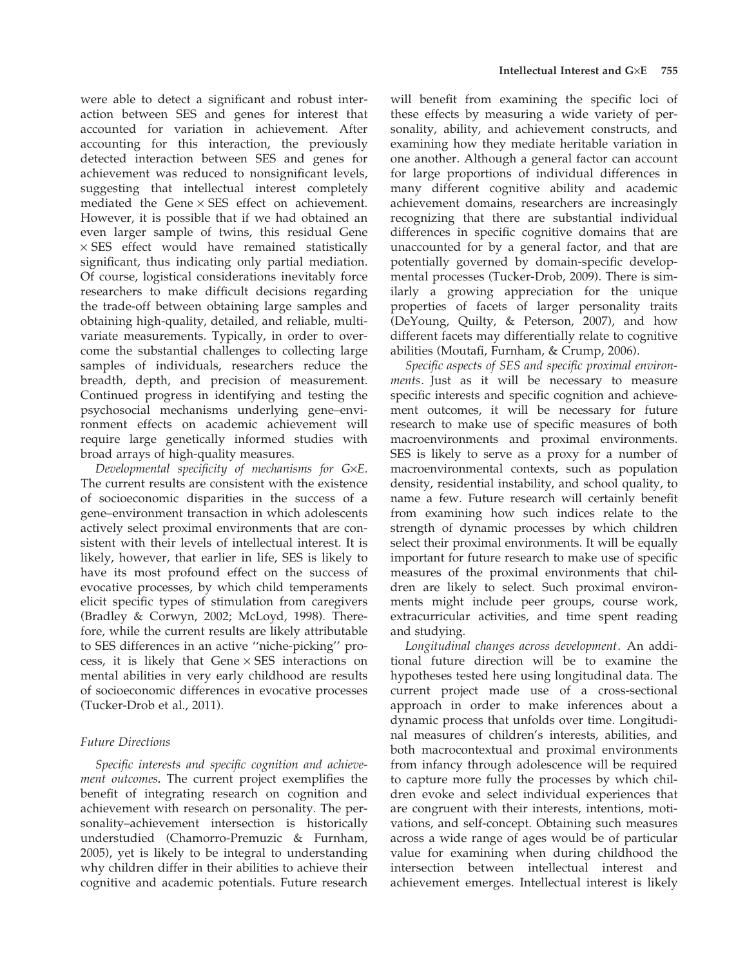were able to detect a significant and robust interaction between SES and genes for interest that accounted for variation in achievement. After accounting for this interaction, the previously detected interaction between SES and genes for achievement was reduced to nonsignificant levels, suggesting that intellectual interest completely mediated the Gene  $\times$  SES effect on achievement. However, it is possible that if we had obtained an even larger sample of twins, this residual Gene  $\times$  SES effect would have remained statistically significant, thus indicating only partial mediation. Of course, logistical considerations inevitably force researchers to make difficult decisions regarding the trade-off between obtaining large samples and obtaining high-quality, detailed, and reliable, multivariate measurements. Typically, in order to overcome the substantial challenges to collecting large samples of individuals, researchers reduce the breadth, depth, and precision of measurement. Continued progress in identifying and testing the psychosocial mechanisms underlying gene–environment effects on academic achievement will require large genetically informed studies with broad arrays of high-quality measures.

Developmental specificity of mechanisms for  $G \times E$ . The current results are consistent with the existence of socioeconomic disparities in the success of a gene–environment transaction in which adolescents actively select proximal environments that are consistent with their levels of intellectual interest. It is likely, however, that earlier in life, SES is likely to have its most profound effect on the success of evocative processes, by which child temperaments elicit specific types of stimulation from caregivers (Bradley & Corwyn, 2002; McLoyd, 1998). Therefore, while the current results are likely attributable to SES differences in an active ''niche-picking'' process, it is likely that Gene  $\times$  SES interactions on mental abilities in very early childhood are results of socioeconomic differences in evocative processes (Tucker-Drob et al., 2011).

## Future Directions

Specific interests and specific cognition and achievement outcomes. The current project exemplifies the benefit of integrating research on cognition and achievement with research on personality. The personality–achievement intersection is historically understudied (Chamorro-Premuzic & Furnham, 2005), yet is likely to be integral to understanding why children differ in their abilities to achieve their cognitive and academic potentials. Future research

will benefit from examining the specific loci of these effects by measuring a wide variety of personality, ability, and achievement constructs, and examining how they mediate heritable variation in one another. Although a general factor can account for large proportions of individual differences in many different cognitive ability and academic achievement domains, researchers are increasingly recognizing that there are substantial individual differences in specific cognitive domains that are unaccounted for by a general factor, and that are potentially governed by domain-specific developmental processes (Tucker-Drob, 2009). There is similarly a growing appreciation for the unique properties of facets of larger personality traits (DeYoung, Quilty, & Peterson, 2007), and how different facets may differentially relate to cognitive abilities (Moutafi, Furnham, & Crump, 2006).

Specific aspects of SES and specific proximal environments. Just as it will be necessary to measure specific interests and specific cognition and achievement outcomes, it will be necessary for future research to make use of specific measures of both macroenvironments and proximal environments. SES is likely to serve as a proxy for a number of macroenvironmental contexts, such as population density, residential instability, and school quality, to name a few. Future research will certainly benefit from examining how such indices relate to the strength of dynamic processes by which children select their proximal environments. It will be equally important for future research to make use of specific measures of the proximal environments that children are likely to select. Such proximal environments might include peer groups, course work, extracurricular activities, and time spent reading and studying.

Longitudinal changes across development. An additional future direction will be to examine the hypotheses tested here using longitudinal data. The current project made use of a cross-sectional approach in order to make inferences about a dynamic process that unfolds over time. Longitudinal measures of children's interests, abilities, and both macrocontextual and proximal environments from infancy through adolescence will be required to capture more fully the processes by which children evoke and select individual experiences that are congruent with their interests, intentions, motivations, and self-concept. Obtaining such measures across a wide range of ages would be of particular value for examining when during childhood the intersection between intellectual interest and achievement emerges. Intellectual interest is likely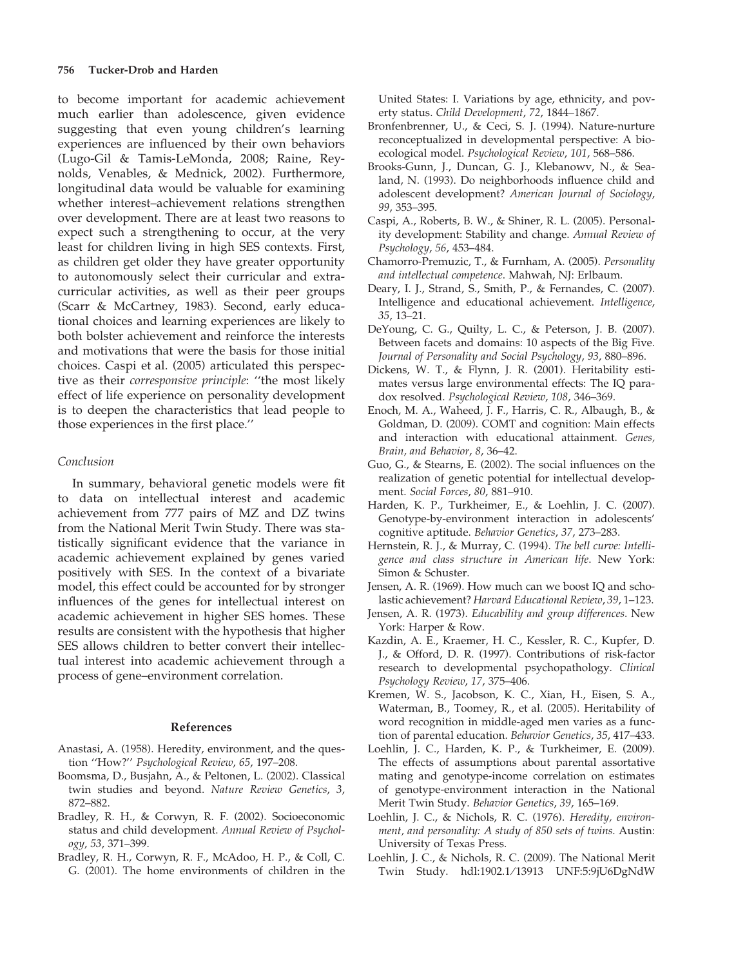to become important for academic achievement much earlier than adolescence, given evidence suggesting that even young children's learning experiences are influenced by their own behaviors (Lugo-Gil & Tamis-LeMonda, 2008; Raine, Reynolds, Venables, & Mednick, 2002). Furthermore, longitudinal data would be valuable for examining whether interest–achievement relations strengthen over development. There are at least two reasons to expect such a strengthening to occur, at the very least for children living in high SES contexts. First, as children get older they have greater opportunity to autonomously select their curricular and extracurricular activities, as well as their peer groups (Scarr & McCartney, 1983). Second, early educational choices and learning experiences are likely to both bolster achievement and reinforce the interests and motivations that were the basis for those initial choices. Caspi et al. (2005) articulated this perspective as their corresponsive principle: ''the most likely effect of life experience on personality development is to deepen the characteristics that lead people to those experiences in the first place.''

#### Conclusion

In summary, behavioral genetic models were fit to data on intellectual interest and academic achievement from 777 pairs of MZ and DZ twins from the National Merit Twin Study. There was statistically significant evidence that the variance in academic achievement explained by genes varied positively with SES. In the context of a bivariate model, this effect could be accounted for by stronger influences of the genes for intellectual interest on academic achievement in higher SES homes. These results are consistent with the hypothesis that higher SES allows children to better convert their intellectual interest into academic achievement through a process of gene–environment correlation.

#### References

- Anastasi, A. (1958). Heredity, environment, and the question ''How?'' Psychological Review, 65, 197–208.
- Boomsma, D., Busjahn, A., & Peltonen, L. (2002). Classical twin studies and beyond. Nature Review Genetics, 3, 872–882.
- Bradley, R. H., & Corwyn, R. F. (2002). Socioeconomic status and child development. Annual Review of Psychology, 53, 371–399.
- Bradley, R. H., Corwyn, R. F., McAdoo, H. P., & Coll, C. G. (2001). The home environments of children in the

United States: I. Variations by age, ethnicity, and poverty status. Child Development, 72, 1844–1867.

- Bronfenbrenner, U., & Ceci, S. J. (1994). Nature-nurture reconceptualized in developmental perspective: A bioecological model. Psychological Review, 101, 568–586.
- Brooks-Gunn, J., Duncan, G. J., Klebanowv, N., & Sealand, N. (1993). Do neighborhoods influence child and adolescent development? American Journal of Sociology, 99, 353–395.
- Caspi, A., Roberts, B. W., & Shiner, R. L. (2005). Personality development: Stability and change. Annual Review of Psychology, 56, 453–484.
- Chamorro-Premuzic, T., & Furnham, A. (2005). Personality and intellectual competence. Mahwah, NJ: Erlbaum.
- Deary, I. J., Strand, S., Smith, P., & Fernandes, C. (2007). Intelligence and educational achievement. Intelligence, 35, 13–21.
- DeYoung, C. G., Quilty, L. C., & Peterson, J. B. (2007). Between facets and domains: 10 aspects of the Big Five. Journal of Personality and Social Psychology, 93, 880–896.
- Dickens, W. T., & Flynn, J. R. (2001). Heritability estimates versus large environmental effects: The IQ paradox resolved. Psychological Review, 108, 346–369.
- Enoch, M. A., Waheed, J. F., Harris, C. R., Albaugh, B., & Goldman, D. (2009). COMT and cognition: Main effects and interaction with educational attainment. Genes, Brain, and Behavior, 8, 36–42.
- Guo, G., & Stearns, E. (2002). The social influences on the realization of genetic potential for intellectual development. Social Forces, 80, 881–910.
- Harden, K. P., Turkheimer, E., & Loehlin, J. C. (2007). Genotype-by-environment interaction in adolescents' cognitive aptitude. Behavior Genetics, 37, 273–283.
- Hernstein, R. J., & Murray, C. (1994). The bell curve: Intelligence and class structure in American life. New York: Simon & Schuster.
- Jensen, A. R. (1969). How much can we boost IQ and scholastic achievement? Harvard Educational Review, 39, 1–123.
- Jensen, A. R. (1973). Educability and group differences. New York: Harper & Row.
- Kazdin, A. E., Kraemer, H. C., Kessler, R. C., Kupfer, D. J., & Offord, D. R. (1997). Contributions of risk-factor research to developmental psychopathology. Clinical Psychology Review, 17, 375–406.
- Kremen, W. S., Jacobson, K. C., Xian, H., Eisen, S. A., Waterman, B., Toomey, R., et al. (2005). Heritability of word recognition in middle-aged men varies as a function of parental education. Behavior Genetics, 35, 417–433.
- Loehlin, J. C., Harden, K. P., & Turkheimer, E. (2009). The effects of assumptions about parental assortative mating and genotype-income correlation on estimates of genotype-environment interaction in the National Merit Twin Study. Behavior Genetics, 39, 165–169.
- Loehlin, J. C., & Nichols, R. C. (1976). Heredity, environment, and personality: A study of 850 sets of twins. Austin: University of Texas Press.
- Loehlin, J. C., & Nichols, R. C. (2009). The National Merit Twin Study. hdl:1902.1/13913 UNF:5:9jU6DgNdW